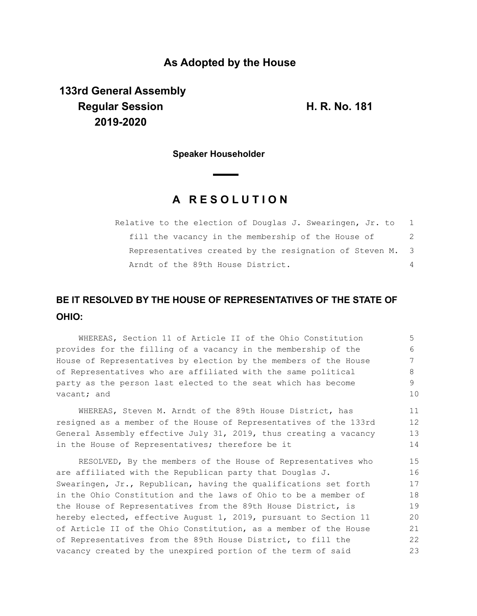## **As Adopted by the House**

**133rd General Assembly Regular Session H. R. No. 181 2019-2020**

**Speaker Householder**

## **A R E S O L U T I O N**

| Relative to the election of Douglas J. Swearingen, Jr. to |    |
|-----------------------------------------------------------|----|
| fill the vacancy in the membership of the House of        | -2 |
| Representatives created by the resignation of Steven M. 3 |    |
| Arndt of the 89th House District.                         |    |

## **BE IT RESOLVED BY THE HOUSE OF REPRESENTATIVES OF THE STATE OF OHIO:**

WHEREAS, Section 11 of Article II of the Ohio Constitution provides for the filling of a vacancy in the membership of the House of Representatives by election by the members of the House of Representatives who are affiliated with the same political party as the person last elected to the seat which has become vacant; and 5 6 7 8 9 10

WHEREAS, Steven M. Arndt of the 89th House District, has resigned as a member of the House of Representatives of the 133rd General Assembly effective July 31, 2019, thus creating a vacancy in the House of Representatives; therefore be it 11 12 13 14

RESOLVED, By the members of the House of Representatives who are affiliated with the Republican party that Douglas J. Swearingen, Jr., Republican, having the qualifications set forth in the Ohio Constitution and the laws of Ohio to be a member of the House of Representatives from the 89th House District, is hereby elected, effective August 1, 2019, pursuant to Section 11 of Article II of the Ohio Constitution, as a member of the House of Representatives from the 89th House District, to fill the vacancy created by the unexpired portion of the term of said 15 16 17 18 19 20 21 22 23